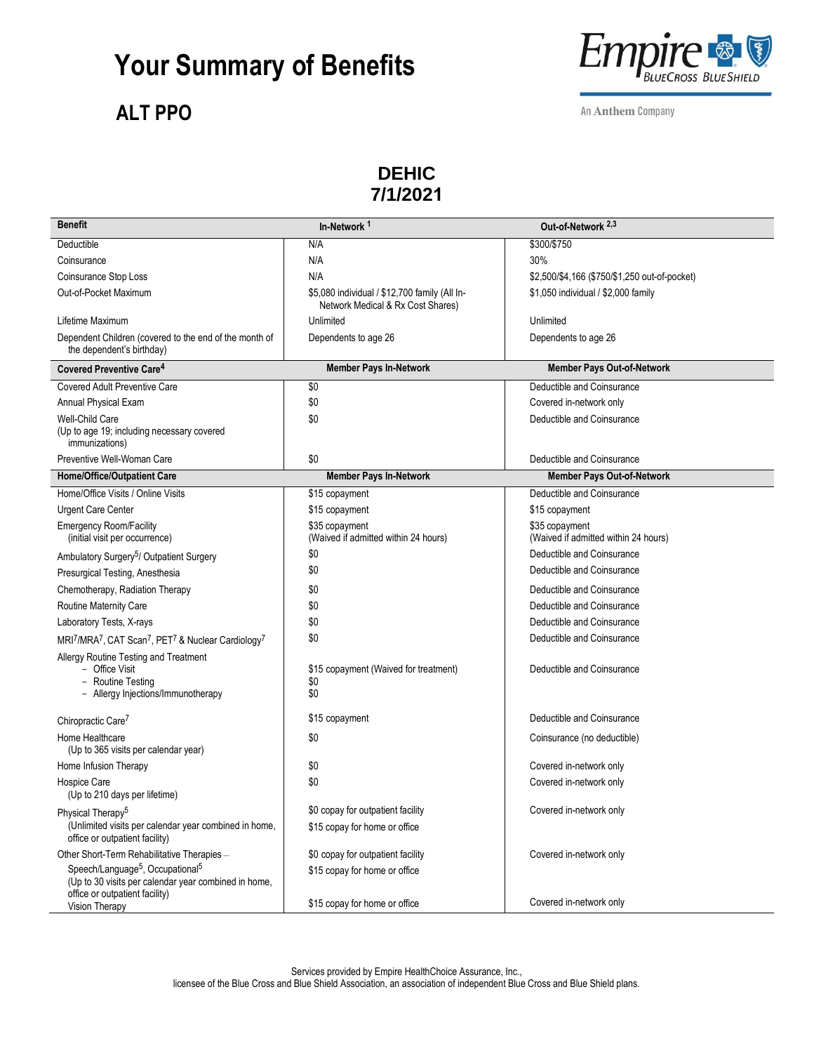### **Your Summary of Benefits**

#### **ALT PPO**



An Anthem Company

#### **DEHIC 7/1/2021**

| <b>Benefit</b>                                                                                                     | In-Network <sup>1</sup>                                                            | Out-of-Network <sup>2,3</sup>                          |
|--------------------------------------------------------------------------------------------------------------------|------------------------------------------------------------------------------------|--------------------------------------------------------|
| Deductible                                                                                                         | N/A                                                                                | \$300/\$750                                            |
| Coinsurance                                                                                                        | N/A                                                                                | 30%                                                    |
| Coinsurance Stop Loss                                                                                              | N/A                                                                                | \$2,500/\$4,166 (\$750/\$1,250 out-of-pocket)          |
| Out-of-Pocket Maximum                                                                                              | \$5,080 individual / \$12,700 family (All In-<br>Network Medical & Rx Cost Shares) | \$1,050 individual / \$2,000 family                    |
| Lifetime Maximum                                                                                                   | Unlimited                                                                          | Unlimited                                              |
| Dependent Children (covered to the end of the month of<br>the dependent's birthday)                                | Dependents to age 26                                                               | Dependents to age 26                                   |
| Covered Preventive Care <sup>4</sup>                                                                               | <b>Member Pays In-Network</b>                                                      | <b>Member Pays Out-of-Network</b>                      |
| <b>Covered Adult Preventive Care</b>                                                                               | \$0                                                                                | Deductible and Coinsurance                             |
| Annual Physical Exam                                                                                               | \$0                                                                                | Covered in-network only                                |
| <b>Well-Child Care</b><br>(Up to age 19; including necessary covered<br><i>immunizations)</i>                      | \$0                                                                                | Deductible and Coinsurance                             |
| Preventive Well-Woman Care                                                                                         | \$0                                                                                | Deductible and Coinsurance                             |
| <b>Home/Office/Outpatient Care</b>                                                                                 | <b>Member Pays In-Network</b>                                                      | <b>Member Pays Out-of-Network</b>                      |
| Home/Office Visits / Online Visits                                                                                 | \$15 copayment                                                                     | Deductible and Coinsurance                             |
| <b>Urgent Care Center</b>                                                                                          | \$15 copayment                                                                     | \$15 copayment                                         |
| <b>Emergency Room/Facility</b><br>(initial visit per occurrence)                                                   | \$35 copayment<br>(Waived if admitted within 24 hours)                             | \$35 copayment<br>(Waived if admitted within 24 hours) |
| Ambulatory Surgery <sup>5</sup> / Outpatient Surgery                                                               | \$0                                                                                | Deductible and Coinsurance                             |
| Presurgical Testing, Anesthesia                                                                                    | \$0                                                                                | Deductible and Coinsurance                             |
| Chemotherapy, Radiation Therapy                                                                                    | \$0                                                                                | Deductible and Coinsurance                             |
| Routine Maternity Care                                                                                             | \$0                                                                                | Deductible and Coinsurance                             |
| Laboratory Tests, X-rays                                                                                           | \$0                                                                                | Deductible and Coinsurance                             |
| MRI <sup>7</sup> /MRA <sup>7</sup> , CAT Scan <sup>7</sup> , PET <sup>7</sup> & Nuclear Cardiology <sup>7</sup>    | \$0                                                                                | Deductible and Coinsurance                             |
| Allergy Routine Testing and Treatment<br>- Office Visit<br>- Routine Testing<br>- Allergy Injections/Immunotherapy | \$15 copayment (Waived for treatment)<br>\$0<br>\$0                                | Deductible and Coinsurance                             |
| Chiropractic Care <sup>7</sup>                                                                                     | \$15 copayment                                                                     | Deductible and Coinsurance                             |
| Home Healthcare<br>(Up to 365 visits per calendar year)                                                            | \$0                                                                                | Coinsurance (no deductible)                            |
| Home Infusion Therapy                                                                                              | \$0                                                                                | Covered in-network only                                |
| Hospice Care<br>(Up to 210 days per lifetime)                                                                      | \$0                                                                                | Covered in-network only                                |
| Physical Therapy <sup>5</sup>                                                                                      | \$0 copay for outpatient facility                                                  | Covered in-network only                                |
| (Unlimited visits per calendar year combined in home,<br>office or outpatient facility)                            | \$15 copay for home or office                                                      |                                                        |
| Other Short-Term Rehabilitative Therapies-                                                                         | \$0 copay for outpatient facility                                                  | Covered in-network only                                |
| Speech/Language <sup>5</sup> , Occupational <sup>5</sup><br>(Up to 30 visits per calendar year combined in home,   | \$15 copay for home or office                                                      |                                                        |
| office or outpatient facility)<br>Vision Therapy                                                                   | \$15 copay for home or office                                                      | Covered in-network only                                |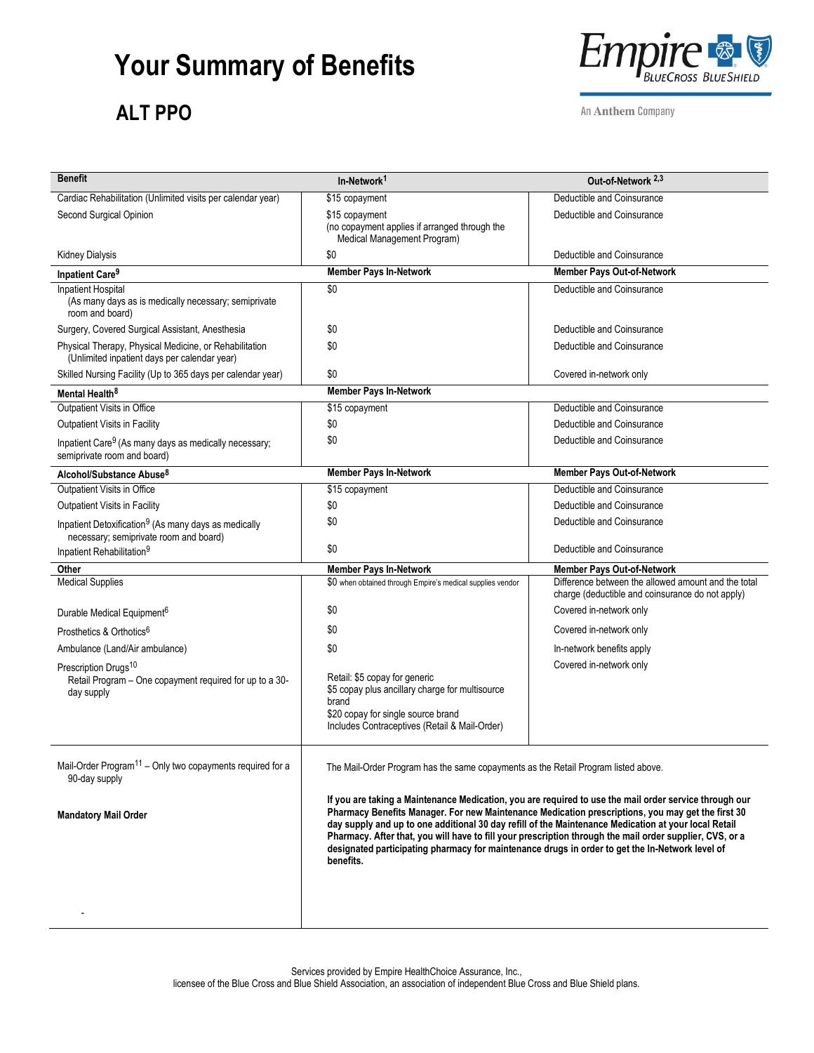# **Your Summary of Benefits**

#### **ALT PPO**



An Anthem Company

| <b>Benefit</b>                                                                                                        | In-Network <sup>1</sup>                                                                                                                                                                                                                                                                                                                                                                                                                                                                                                                                                                                                               | Out-of-Network <sup>2,3</sup>                                                                           |
|-----------------------------------------------------------------------------------------------------------------------|---------------------------------------------------------------------------------------------------------------------------------------------------------------------------------------------------------------------------------------------------------------------------------------------------------------------------------------------------------------------------------------------------------------------------------------------------------------------------------------------------------------------------------------------------------------------------------------------------------------------------------------|---------------------------------------------------------------------------------------------------------|
| Cardiac Rehabilitation (Unlimited visits per calendar year)                                                           | \$15 copayment                                                                                                                                                                                                                                                                                                                                                                                                                                                                                                                                                                                                                        | Deductible and Coinsurance                                                                              |
| Second Surgical Opinion                                                                                               | \$15 copayment<br>(no copayment applies if arranged through the<br>Medical Management Program)                                                                                                                                                                                                                                                                                                                                                                                                                                                                                                                                        | Deductible and Coinsurance                                                                              |
| <b>Kidney Dialysis</b>                                                                                                | \$0                                                                                                                                                                                                                                                                                                                                                                                                                                                                                                                                                                                                                                   | Deductible and Coinsurance                                                                              |
| Inpatient Care <sup>9</sup>                                                                                           | <b>Member Pays In-Network</b>                                                                                                                                                                                                                                                                                                                                                                                                                                                                                                                                                                                                         | <b>Member Pays Out-of-Network</b>                                                                       |
| <b>Inpatient Hospital</b><br>(As many days as is medically necessary; semiprivate<br>room and board)                  | \$0                                                                                                                                                                                                                                                                                                                                                                                                                                                                                                                                                                                                                                   | Deductible and Coinsurance                                                                              |
| Surgery, Covered Surgical Assistant, Anesthesia                                                                       | \$0                                                                                                                                                                                                                                                                                                                                                                                                                                                                                                                                                                                                                                   | Deductible and Coinsurance                                                                              |
| Physical Therapy, Physical Medicine, or Rehabilitation<br>(Unlimited inpatient days per calendar year)                | \$0                                                                                                                                                                                                                                                                                                                                                                                                                                                                                                                                                                                                                                   | Deductible and Coinsurance                                                                              |
| Skilled Nursing Facility (Up to 365 days per calendar year)                                                           | \$0                                                                                                                                                                                                                                                                                                                                                                                                                                                                                                                                                                                                                                   | Covered in-network only                                                                                 |
| Mental Health <sup>8</sup>                                                                                            | <b>Member Pays In-Network</b>                                                                                                                                                                                                                                                                                                                                                                                                                                                                                                                                                                                                         |                                                                                                         |
| Outpatient Visits in Office                                                                                           | \$15 copayment                                                                                                                                                                                                                                                                                                                                                                                                                                                                                                                                                                                                                        | Deductible and Coinsurance                                                                              |
| Outpatient Visits in Facility                                                                                         | \$0                                                                                                                                                                                                                                                                                                                                                                                                                                                                                                                                                                                                                                   | Deductible and Coinsurance                                                                              |
| Inpatient Care <sup>9</sup> (As many days as medically necessary;<br>semiprivate room and board)                      | \$0                                                                                                                                                                                                                                                                                                                                                                                                                                                                                                                                                                                                                                   | Deductible and Coinsurance                                                                              |
| Alcohol/Substance Abuse <sup>8</sup>                                                                                  | <b>Member Pays In-Network</b>                                                                                                                                                                                                                                                                                                                                                                                                                                                                                                                                                                                                         | Member Pays Out-of-Network                                                                              |
| Outpatient Visits in Office                                                                                           | \$15 copayment                                                                                                                                                                                                                                                                                                                                                                                                                                                                                                                                                                                                                        | Deductible and Coinsurance                                                                              |
| Outpatient Visits in Facility                                                                                         | \$0                                                                                                                                                                                                                                                                                                                                                                                                                                                                                                                                                                                                                                   | Deductible and Coinsurance                                                                              |
| Inpatient Detoxification <sup>9</sup> (As many days as medically<br>necessary; semiprivate room and board)            | \$0                                                                                                                                                                                                                                                                                                                                                                                                                                                                                                                                                                                                                                   | Deductible and Coinsurance                                                                              |
| Inpatient Rehabilitation <sup>9</sup>                                                                                 | \$0                                                                                                                                                                                                                                                                                                                                                                                                                                                                                                                                                                                                                                   | Deductible and Coinsurance                                                                              |
| Other                                                                                                                 | <b>Member Pays In-Network</b>                                                                                                                                                                                                                                                                                                                                                                                                                                                                                                                                                                                                         | <b>Member Pays Out-of-Network</b>                                                                       |
| <b>Medical Supplies</b>                                                                                               | \$0 when obtained through Empire's medical supplies vendor                                                                                                                                                                                                                                                                                                                                                                                                                                                                                                                                                                            | Difference between the allowed amount and the total<br>charge (deductible and coinsurance do not apply) |
| Durable Medical Equipment <sup>6</sup>                                                                                | \$0                                                                                                                                                                                                                                                                                                                                                                                                                                                                                                                                                                                                                                   | Covered in-network only                                                                                 |
| Prosthetics & Orthotics <sup>6</sup>                                                                                  | \$0                                                                                                                                                                                                                                                                                                                                                                                                                                                                                                                                                                                                                                   | Covered in-network only                                                                                 |
| Ambulance (Land/Air ambulance)                                                                                        | \$0                                                                                                                                                                                                                                                                                                                                                                                                                                                                                                                                                                                                                                   | In-network benefits apply                                                                               |
| Prescription Drugs <sup>10</sup><br>Retail Program - One copayment required for up to a 30-<br>day supply             | Retail: \$5 copay for generic<br>\$5 copay plus ancillary charge for multisource<br>brand<br>\$20 copay for single source brand<br>Includes Contraceptives (Retail & Mail-Order)                                                                                                                                                                                                                                                                                                                                                                                                                                                      | Covered in-network only                                                                                 |
| Mail-Order Program <sup>11</sup> - Only two copayments required for a<br>90-day supply<br><b>Mandatory Mail Order</b> | The Mail-Order Program has the same copayments as the Retail Program listed above.<br>If you are taking a Maintenance Medication, you are required to use the mail order service through our<br>Pharmacy Benefits Manager. For new Maintenance Medication prescriptions, you may get the first 30<br>day supply and up to one additional 30 day refill of the Maintenance Medication at your local Retail<br>Pharmacy. After that, you will have to fill your prescription through the mail order supplier, CVS, or a<br>designated participating pharmacy for maintenance drugs in order to get the In-Network level of<br>benefits. |                                                                                                         |
|                                                                                                                       |                                                                                                                                                                                                                                                                                                                                                                                                                                                                                                                                                                                                                                       |                                                                                                         |

Services provided by Empire HealthChoice Assurance, Inc.,

licensee of the Blue Cross and Blue Shield Association, an association of independent Blue Cross and Blue Shield plans.